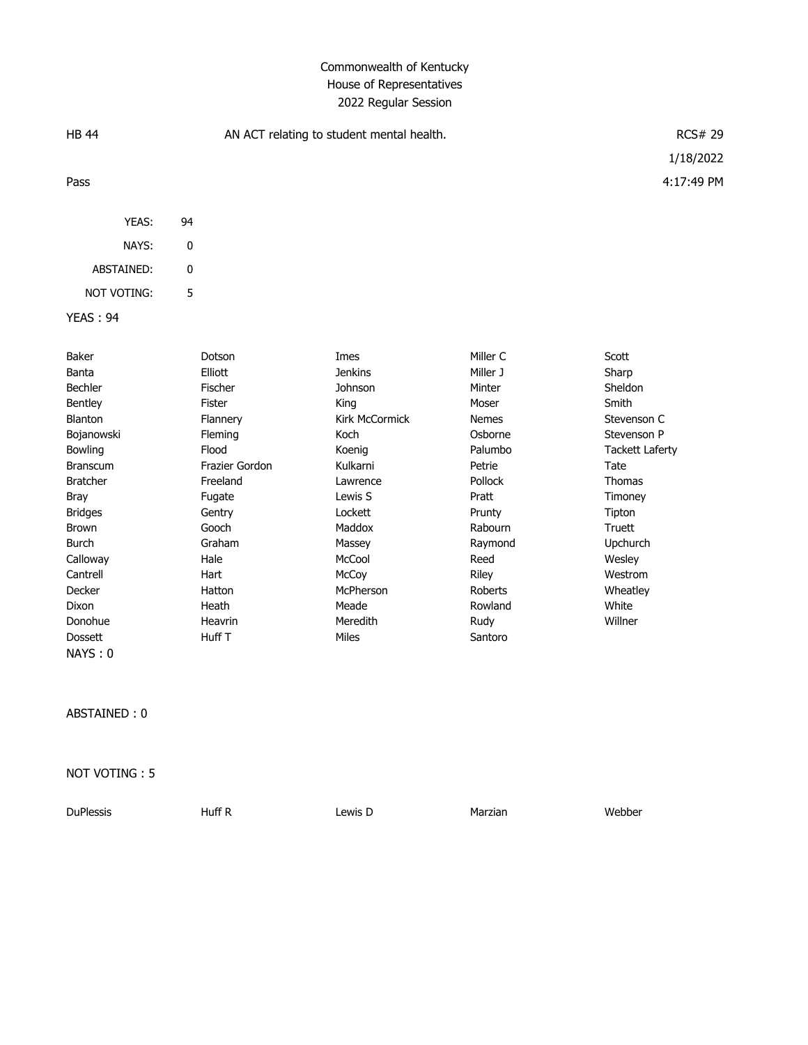# Commonwealth of Kentucky House of Representatives 2022 Regular Session

| <b>HB 44</b>       |    | AN ACT relating to student mental health. | <b>RCS# 29</b> |                |                        |
|--------------------|----|-------------------------------------------|----------------|----------------|------------------------|
|                    |    |                                           |                |                | 1/18/2022              |
| Pass               |    |                                           |                |                | 4:17:49 PM             |
| YEAS:              | 94 |                                           |                |                |                        |
| NAYS:              | 0  |                                           |                |                |                        |
| ABSTAINED:         | 0  |                                           |                |                |                        |
| <b>NOT VOTING:</b> | 5  |                                           |                |                |                        |
| <b>YEAS: 94</b>    |    |                                           |                |                |                        |
| Baker              |    | Dotson                                    | Imes           | Miller C       | Scott                  |
| Banta              |    | Elliott                                   | <b>Jenkins</b> | Miller J       | Sharp                  |
| <b>Bechler</b>     |    | Fischer                                   | Johnson        | Minter         | Sheldon                |
| Bentley            |    | Fister                                    | King           | Moser          | Smith                  |
| Blanton            |    | Flannery                                  | Kirk McCormick | <b>Nemes</b>   | Stevenson C            |
| Bojanowski         |    | Fleming                                   | Koch           | Osborne        | Stevenson P            |
| Bowling            |    | Flood                                     | Koenig         | Palumbo        | <b>Tackett Laferty</b> |
| <b>Branscum</b>    |    | Frazier Gordon                            | Kulkarni       | Petrie         | Tate                   |
| <b>Bratcher</b>    |    | Freeland                                  | Lawrence       | Pollock        | <b>Thomas</b>          |
| <b>Bray</b>        |    | Fugate                                    | Lewis S        | Pratt          | Timoney                |
| <b>Bridges</b>     |    | Gentry                                    | Lockett        | Prunty         | Tipton                 |
| <b>Brown</b>       |    | Gooch                                     | Maddox         | Rabourn        | <b>Truett</b>          |
| <b>Burch</b>       |    | Graham                                    | Massey         | Raymond        | Upchurch               |
| Calloway           |    | Hale                                      | McCool         | Reed           | Wesley                 |
| Cantrell           |    | Hart                                      | McCoy          | Riley          | Westrom                |
| Decker             |    | Hatton                                    | McPherson      | <b>Roberts</b> | Wheatley               |
| Dixon              |    | Heath                                     | Meade          | Rowland        | White                  |
| Donohue            |    | Heavrin                                   | Meredith       | Rudy           | Willner                |
| <b>Dossett</b>     |    | Huff <sub>T</sub>                         | Miles          | Santoro        |                        |

ABSTAINED : 0

NAYS : 0

NOT VOTING : 5

DuPlessis Huff R Lewis D Marzian Webber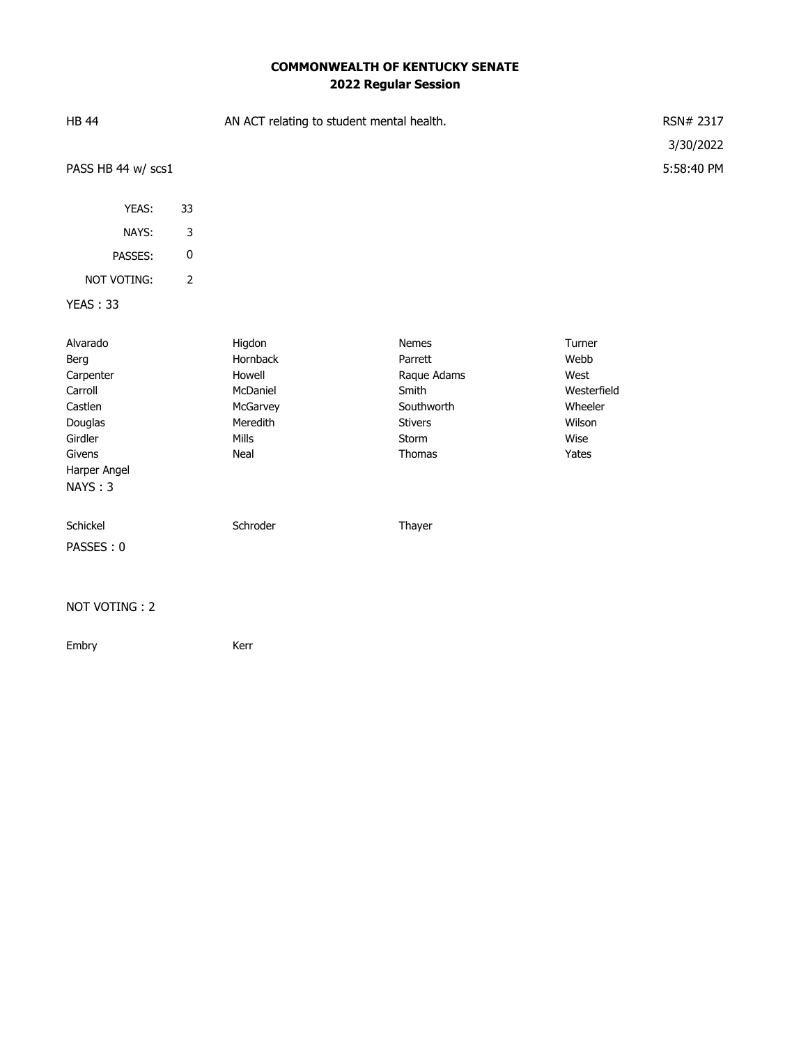# **COMMONWEALTH OF KENTUCKY SENATE 2022 Regular Session**

| <b>HB 44</b><br>PASS HB 44 w/ scs1                                                                             |                | AN ACT relating to student mental health.                                         |                                                                                             |                                                                             | RSN# 2317<br>3/30/2022<br>5:58:40 PM |
|----------------------------------------------------------------------------------------------------------------|----------------|-----------------------------------------------------------------------------------|---------------------------------------------------------------------------------------------|-----------------------------------------------------------------------------|--------------------------------------|
| YEAS:                                                                                                          | 33             |                                                                                   |                                                                                             |                                                                             |                                      |
| NAYS:                                                                                                          | 3              |                                                                                   |                                                                                             |                                                                             |                                      |
| PASSES:                                                                                                        | $\pmb{0}$      |                                                                                   |                                                                                             |                                                                             |                                      |
| NOT VOTING:                                                                                                    | $\overline{2}$ |                                                                                   |                                                                                             |                                                                             |                                      |
| <b>YEAS: 33</b>                                                                                                |                |                                                                                   |                                                                                             |                                                                             |                                      |
| Alvarado<br>Berg<br>Carpenter<br>Carroll<br>Castlen<br>Douglas<br>Girdler<br>Givens<br>Harper Angel<br>NAYS: 3 |                | Higdon<br>Hornback<br>Howell<br>McDaniel<br>McGarvey<br>Meredith<br>Mills<br>Neal | Nemes<br>Parrett<br>Raque Adams<br>Smith<br>Southworth<br><b>Stivers</b><br>Storm<br>Thomas | Turner<br>Webb<br>West<br>Westerfield<br>Wheeler<br>Wilson<br>Wise<br>Yates |                                      |
| Schickel<br>PASSES: 0                                                                                          |                | Schroder                                                                          | Thayer                                                                                      |                                                                             |                                      |

#### NOT VOTING : 2

Embry **Kerr**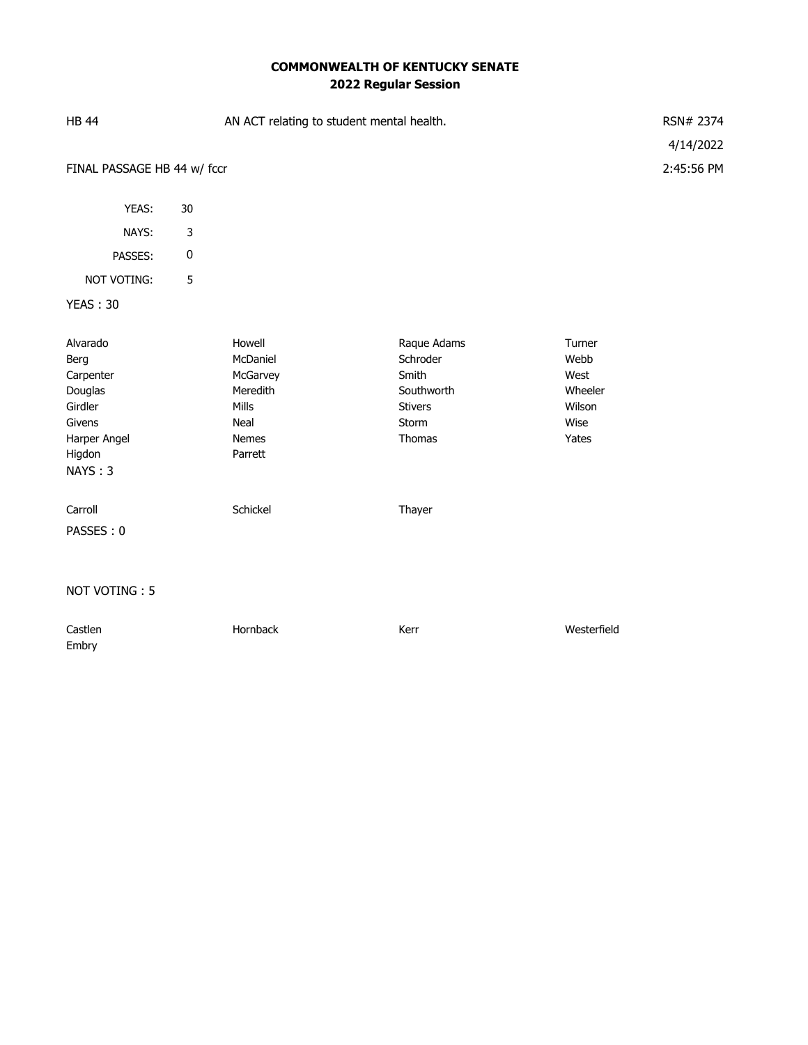# **COMMONWEALTH OF KENTUCKY SENATE 2022 Regular Session**

| <b>HB 44</b>                                                                  |             | AN ACT relating to student mental health.                            | RSN# 2374                                                                           |                                                              |            |
|-------------------------------------------------------------------------------|-------------|----------------------------------------------------------------------|-------------------------------------------------------------------------------------|--------------------------------------------------------------|------------|
|                                                                               |             |                                                                      |                                                                                     |                                                              | 4/14/2022  |
| FINAL PASSAGE HB 44 w/ fccr                                                   |             |                                                                      |                                                                                     |                                                              | 2:45:56 PM |
|                                                                               |             |                                                                      |                                                                                     |                                                              |            |
| YEAS:                                                                         | 30          |                                                                      |                                                                                     |                                                              |            |
| NAYS:                                                                         | $\mathsf 3$ |                                                                      |                                                                                     |                                                              |            |
| PASSES:                                                                       | $\pmb{0}$   |                                                                      |                                                                                     |                                                              |            |
| NOT VOTING:                                                                   | 5           |                                                                      |                                                                                     |                                                              |            |
| <b>YEAS: 30</b>                                                               |             |                                                                      |                                                                                     |                                                              |            |
| Alvarado<br>Berg<br>Carpenter<br>Douglas<br>Girdler<br>Givens<br>Harper Angel |             | Howell<br>McDaniel<br>McGarvey<br>Meredith<br>Mills<br>Neal<br>Nemes | Raque Adams<br>Schroder<br>Smith<br>Southworth<br><b>Stivers</b><br>Storm<br>Thomas | Turner<br>Webb<br>West<br>Wheeler<br>Wilson<br>Wise<br>Yates |            |
| Higdon<br>NAYS: 3                                                             |             | Parrett                                                              |                                                                                     |                                                              |            |
| Carroll                                                                       |             | Schickel                                                             | Thayer                                                                              |                                                              |            |
| PASSES: 0                                                                     |             |                                                                      |                                                                                     |                                                              |            |
|                                                                               |             |                                                                      |                                                                                     |                                                              |            |
| NOT VOTING: 5                                                                 |             |                                                                      |                                                                                     |                                                              |            |
| Castlen<br>Embry                                                              |             | Hornback                                                             | Kerr                                                                                | Westerfield                                                  |            |